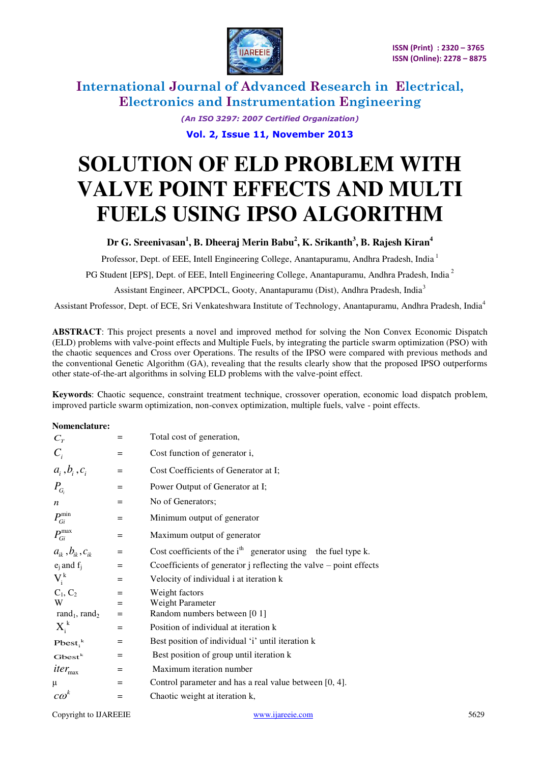

> *(An ISO 3297: 2007 Certified Organization)*  **Vol. 2, Issue 11, November 2013**

# **SOLUTION OF ELD PROBLEM WITH VALVE POINT EFFECTS AND MULTI FUELS USING IPSO ALGORITHM**

# **Dr G. Sreenivasan<sup>1</sup> , B. Dheeraj Merin Babu<sup>2</sup> , K. Srikanth<sup>3</sup> , B. Rajesh Kiran<sup>4</sup>**

Professor, Dept. of EEE, Intell Engineering College, Anantapuramu, Andhra Pradesh, India<sup>1</sup>

PG Student [EPS], Dept. of EEE, Intell Engineering College, Anantapuramu, Andhra Pradesh, India<sup>2</sup>

Assistant Engineer, APCPDCL, Gooty, Anantapuramu (Dist), Andhra Pradesh, India<sup>3</sup>

Assistant Professor, Dept. of ECE, Sri Venkateshwara Institute of Technology, Anantapuramu, Andhra Pradesh, India<sup>4</sup>

**ABSTRACT**: This project presents a novel and improved method for solving the Non Convex Economic Dispatch (ELD) problems with valve-point effects and Multiple Fuels, by integrating the particle swarm optimization (PSO) with the chaotic sequences and Cross over Operations. The results of the IPSO were compared with previous methods and the conventional Genetic Algorithm (GA), revealing that the results clearly show that the proposed IPSO outperforms other state-of-the-art algorithms in solving ELD problems with the valve-point effect.

**Keywords**: Chaotic sequence, constraint treatment technique, crossover operation, economic load dispatch problem, improved particle swarm optimization, non-convex optimization, multiple fuels, valve - point effects.

### **Nomenclature:**

| $C_T$                                 | $=$ | Total cost of generation,                                             |  |  |  |  |  |  |
|---------------------------------------|-----|-----------------------------------------------------------------------|--|--|--|--|--|--|
| $C_i$                                 | $=$ | Cost function of generator i,                                         |  |  |  |  |  |  |
| $a_i, b_i, c_i$                       | $=$ | Cost Coefficients of Generator at I;                                  |  |  |  |  |  |  |
| $P_{G_i}$                             | $=$ | Power Output of Generator at I;                                       |  |  |  |  |  |  |
| $\boldsymbol{n}$                      | $=$ | No of Generators;                                                     |  |  |  |  |  |  |
| $P_{Gi}^{\min}$                       | $=$ | Minimum output of generator                                           |  |  |  |  |  |  |
| $P_{Gi}^{max}$                        | $=$ | Maximum output of generator                                           |  |  |  |  |  |  |
| $a_{ik}$ , $b_{ik}$ , $c_{ik}$        | $=$ | Cost coefficients of the $ith$ generator using the fuel type k.       |  |  |  |  |  |  |
| $e_i$ and $f_i$                       | $=$ | Cooefficients of generator $j$ reflecting the valve $-$ point effects |  |  |  |  |  |  |
| $V_i^k$                               | $=$ | Velocity of individual i at iteration k                               |  |  |  |  |  |  |
| $C_1, C_2$                            | $=$ | Weight factors                                                        |  |  |  |  |  |  |
| W                                     | $=$ | Weight Parameter                                                      |  |  |  |  |  |  |
| rand <sub>1</sub> , rand <sub>2</sub> | $=$ | Random numbers between [0 1]                                          |  |  |  |  |  |  |
| $X_i^k$                               | $=$ | Position of individual at iteration k                                 |  |  |  |  |  |  |
| $Pbest_i^k$                           | $=$ | Best position of individual 'i' until iteration k                     |  |  |  |  |  |  |
| $Gbest^k$                             | $=$ | Best position of group until iteration k                              |  |  |  |  |  |  |
| $iter_{\max}$                         | $=$ | Maximum iteration number                                              |  |  |  |  |  |  |
| μ                                     | $=$ | Control parameter and has a real value between [0, 4].                |  |  |  |  |  |  |
| $c\omega^k$                           | $=$ | Chaotic weight at iteration k,                                        |  |  |  |  |  |  |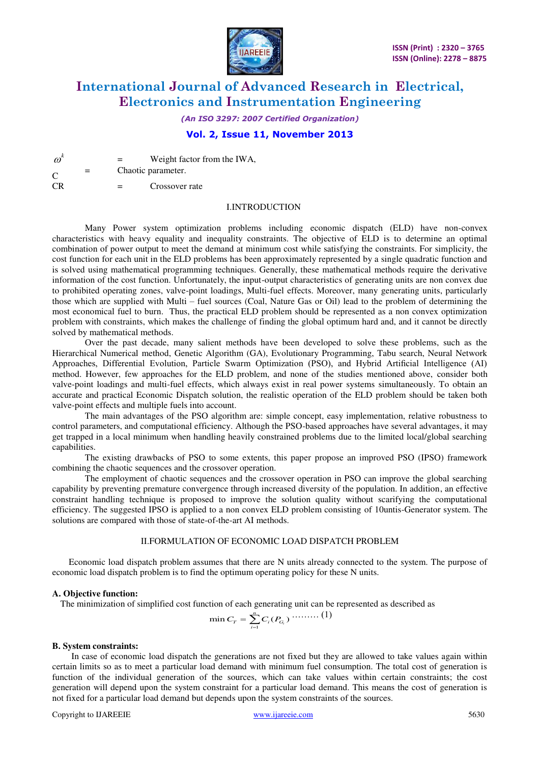

*(An ISO 3297: 2007 Certified Organization)* 

# **Vol. 2, Issue 11, November 2013**

 $\omega^k$ Weight factor from the IWA,  $\overline{C}$ = Chaotic parameter.

CR = Crossover rate

#### I.INTRODUCTION

Many Power system optimization problems including economic dispatch (ELD) have non-convex characteristics with heavy equality and inequality constraints. The objective of ELD is to determine an optimal combination of power output to meet the demand at minimum cost while satisfying the constraints. For simplicity, the cost function for each unit in the ELD problems has been approximately represented by a single quadratic function and is solved using mathematical programming techniques. Generally, these mathematical methods require the derivative information of the cost function. Unfortunately, the input-output characteristics of generating units are non convex due to prohibited operating zones, valve-point loadings, Multi-fuel effects. Moreover, many generating units, particularly those which are supplied with Multi – fuel sources (Coal, Nature Gas or Oil) lead to the problem of determining the most economical fuel to burn. Thus, the practical ELD problem should be represented as a non convex optimization problem with constraints, which makes the challenge of finding the global optimum hard and, and it cannot be directly solved by mathematical methods.

 Over the past decade, many salient methods have been developed to solve these problems, such as the Hierarchical Numerical method, Genetic Algorithm (GA), Evolutionary Programming, Tabu search, Neural Network Approaches, Differential Evolution, Particle Swarm Optimization (PSO), and Hybrid Artificial Intelligence (AI) method. However, few approaches for the ELD problem, and none of the studies mentioned above, consider both valve-point loadings and multi-fuel effects, which always exist in real power systems simultaneously. To obtain an accurate and practical Economic Dispatch solution, the realistic operation of the ELD problem should be taken both valve-point effects and multiple fuels into account.

 The main advantages of the PSO algorithm are: simple concept, easy implementation, relative robustness to control parameters, and computational efficiency. Although the PSO-based approaches have several advantages, it may get trapped in a local minimum when handling heavily constrained problems due to the limited local/global searching capabilities.

 The existing drawbacks of PSO to some extents, this paper propose an improved PSO (IPSO) framework combining the chaotic sequences and the crossover operation.

 The employment of chaotic sequences and the crossover operation in PSO can improve the global searching capability by preventing premature convergence through increased diversity of the population. In addition, an effective constraint handling technique is proposed to improve the solution quality without scarifying the computational efficiency. The suggested IPSO is applied to a non convex ELD problem consisting of 10untis-Generator system. The solutions are compared with those of state-of-the-art AI methods.

# II.FORMULATION OF ECONOMIC LOAD DISPATCH PROBLEM

Economic load dispatch problem assumes that there are N units already connected to the system. The purpose of economic load dispatch problem is to find the optimum operating policy for these N units.

### **A. Objective function:**

The minimization of simplified cost function of each generating unit can be represented as described as

$$
\min C_T = \sum_{i=1}^n C_i(P_{G_i}) \cdots \cdots \cdots (1)
$$

#### **B. System constraints:**

 In case of economic load dispatch the generations are not fixed but they are allowed to take values again within certain limits so as to meet a particular load demand with minimum fuel consumption. The total cost of generation is function of the individual generation of the sources, which can take values within certain constraints; the cost generation will depend upon the system constraint for a particular load demand. This means the cost of generation is not fixed for a particular load demand but depends upon the system constraints of the sources.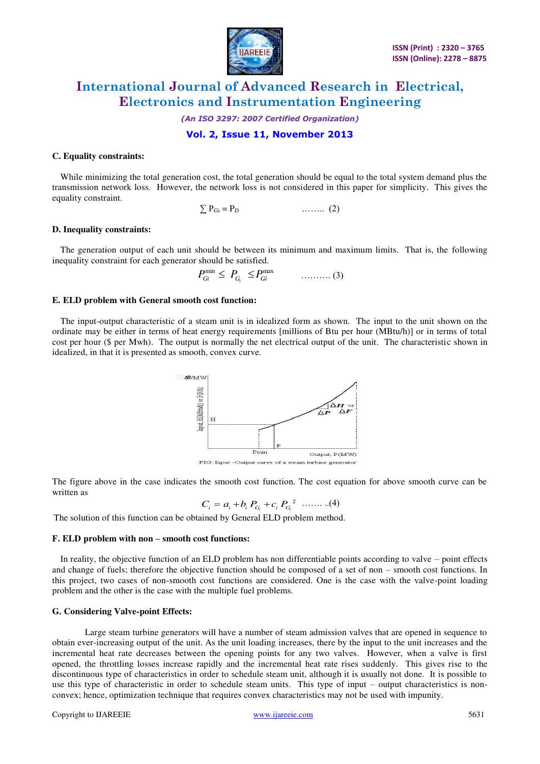

*(An ISO 3297: 2007 Certified Organization)* 

**Vol. 2, Issue 11, November 2013** 

#### **C. Equality constraints:**

 While minimizing the total generation cost, the total generation should be equal to the total system demand plus the transmission network loss. However, the network loss is not considered in this paper for simplicity. This gives the equality constraint.

$$
\sum P_{Gi} = P_D \qquad \qquad \ldots \ldots \qquad (2)
$$

#### **D. Inequality constraints:**

 The generation output of each unit should be between its minimum and maximum limits. That is, the following inequality constraint for each generator should be satisfied.

$$
P_{Gi}^{\min} \leq P_{G_i} \leq P_{Gi}^{\max} \qquad \qquad \ldots \ldots \ldots (3)
$$

#### **E. ELD problem with General smooth cost function:**

 The input-output characteristic of a steam unit is in idealized form as shown. The input to the unit shown on the ordinate may be either in terms of heat energy requirements [millions of Btu per hour (MBtu/h)] or in terms of total cost per hour (\$ per Mwh). The output is normally the net electrical output of the unit. The characteristic shown in idealized, in that it is presented as smooth, convex curve.



FIG: Input -Output curve of a steam turbine generator

The figure above in the case indicates the smooth cost function. The cost equation for above smooth curve can be written as

$$
C_i = a_i + b_i P_{G_i} + c_i P_{G_i}^{2} \quad \dots \dots \dots (4)
$$

The solution of this function can be obtained by General ELD problem method.

#### **F. ELD problem with non – smooth cost functions:**

 In reality, the objective function of an ELD problem has non differentiable points according to valve – point effects and change of fuels; therefore the objective function should be composed of a set of non – smooth cost functions. In this project, two cases of non-smooth cost functions are considered. One is the case with the valve-point loading problem and the other is the case with the multiple fuel problems.

#### **G. Considering Valve-point Effects:**

 Large steam turbine generators will have a number of steam admission valves that are opened in sequence to obtain ever-increasing output of the unit. As the unit loading increases, there by the input to the unit increases and the incremental heat rate decreases between the opening points for any two valves. However, when a valve is first opened, the throttling losses increase rapidly and the incremental heat rate rises suddenly. This gives rise to the discontinuous type of characteristics in order to schedule steam unit, although it is usually not done. It is possible to use this type of characteristic in order to schedule steam units. This type of input – output characteristics is nonconvex; hence, optimization technique that requires convex characteristics may not be used with impunity.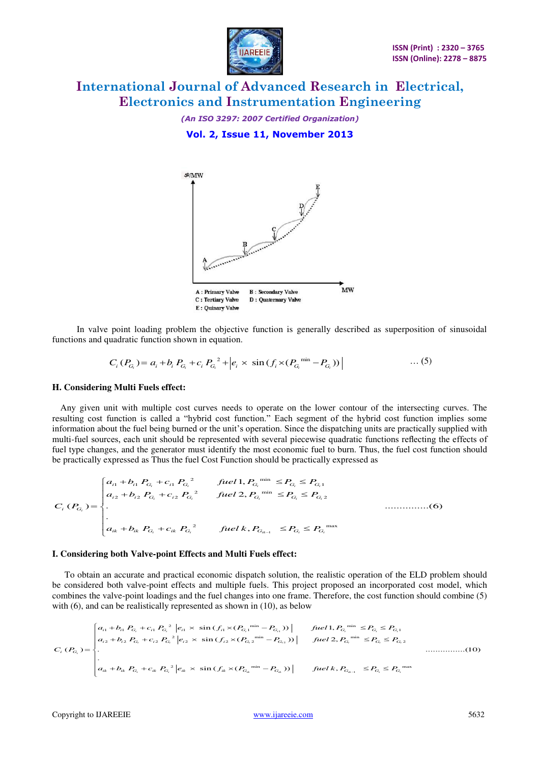

*(An ISO 3297: 2007 Certified Organization)*  **Vol. 2, Issue 11, November 2013** 



 In valve point loading problem the objective function is generally described as superposition of sinusoidal functions and quadratic function shown in equation.

$$
C_i (P_{G_i}) = a_i + b_i P_{G_i} + c_i P_{G_i}^{2} + \left| e_i \times \sin(f_i \times (P_{G_i}^{min} - P_{G_i})) \right| \tag{5}
$$

#### **H. Considering Multi Fuels effect:**

 Any given unit with multiple cost curves needs to operate on the lower contour of the intersecting curves. The resulting cost function is called a "hybrid cost function." Each segment of the hybrid cost function implies some information about the fuel being burned or the unit's operation. Since the dispatching units are practically supplied with multi-fuel sources, each unit should be represented with several piecewise quadratic functions reflecting the effects of fuel type changes, and the generator must identify the most economic fuel to burn. Thus, the fuel cost function should be practically expressed as Thus the fuel Cost Function should be practically expressed as

$$
C_i (P_{G_i}) = \begin{cases} a_{i1} + b_{i1} P_{G_i} + c_{i1} P_{G_i}^2 & \text{fuel1, } P_{G_i}^{\text{min}} \le P_{G_i} \le P_{G_i1} \\ a_{i2} + b_{i2} P_{G_i} + c_{i2} P_{G_i}^2 & \text{fuel2, } P_{G_i}^{\text{min}} \le P_{G_i} \le P_{G_i2} \\ \vdots & \vdots \\ a_{ik} + b_{ik} P_{G_i} + c_{ik} P_{G_i}^2 & \text{fuel } k, P_{G_{ik-1}} \le P_{G_i} \le P_{G_i}^{\text{max}} \end{cases} \dots \dots \dots \dots \dots \dots \tag{6}
$$

#### **I. Considering both Valve-point Effects and Multi Fuels effect:**

 To obtain an accurate and practical economic dispatch solution, the realistic operation of the ELD problem should be considered both valve-point effects and multiple fuels. This project proposed an incorporated cost model, which combines the valve-point loadings and the fuel changes into one frame. Therefore, the cost function should combine (5) with (6), and can be realistically represented as shown in (10), as below

$$
C_{i} (P_{G_{i}}) = \begin{cases} a_{i1} + b_{i1} P_{G_{i}} + c_{i1} P_{G_{i}}^{2} |e_{i1} \times \sin(f_{i1} \times (P_{G_{i1}}^{min} - P_{G_{i1}})) | & \text{fuel1, } P_{G_{i}}^{min} \le P_{G_{i}} \le P_{G_{i1}} \\ a_{i2} + b_{i2} P_{G_{i}} + c_{i2} P_{G_{i}}^{2} |e_{i2} \times \sin(f_{i2} \times (P_{G_{i2}}^{min} - P_{G_{i2}})) | & \text{fuel1, } P_{G_{i}}^{min} \le P_{G_{i}} \le P_{G_{i2}} \\ \cdot & \cdot & \cdot & \cdot & \cdot \\ a_{ik} + b_{ik} P_{G_{i}} + c_{ik} P_{G_{i}}^{2} |e_{ik} \times \sin(f_{ik} \times (P_{G_{ik}}^{min} - P_{G_{ik}})) | & \text{fuel1, } P_{G_{ik-1}} \le P_{G_{i}} \le P_{G_{i}}^{max} \end{cases} \tag{10}
$$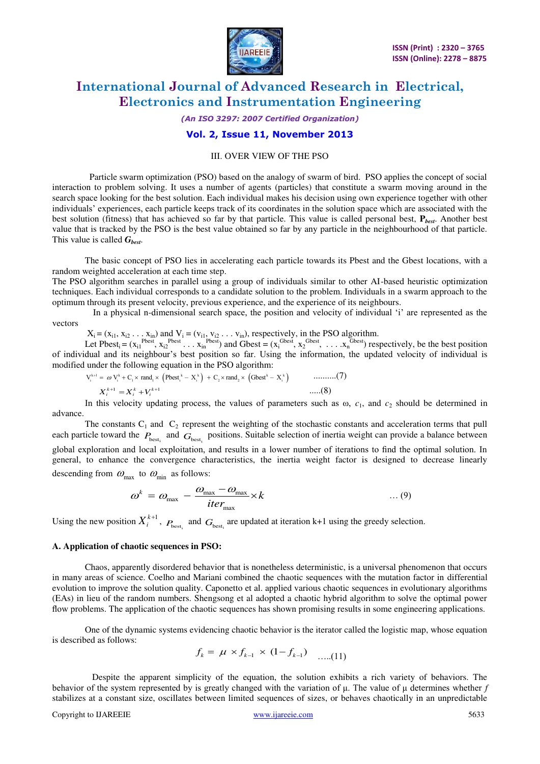

#### *(An ISO 3297: 2007 Certified Organization)*

### **Vol. 2, Issue 11, November 2013**

#### III. OVER VIEW OF THE PSO

 Particle swarm optimization (PSO) based on the analogy of swarm of bird. PSO applies the concept of social interaction to problem solving. It uses a number of agents (particles) that constitute a swarm moving around in the search space looking for the best solution. Each individual makes his decision using own experience together with other individuals' experiences, each particle keeps track of its coordinates in the solution space which are associated with the best solution (fitness) that has achieved so far by that particle. This value is called personal best, **P***best*. Another best value that is tracked by the PSO is the best value obtained so far by any particle in the neighbourhood of that particle. This value is called *Gbest*.

The basic concept of PSO lies in accelerating each particle towards its Pbest and the Gbest locations, with a random weighted acceleration at each time step.

The PSO algorithm searches in parallel using a group of individuals similar to other AI-based heuristic optimization techniques. Each individual corresponds to a candidate solution to the problem. Individuals in a swarm approach to the optimum through its present velocity, previous experience, and the experience of its neighbours.

 In a physical n-dimensional search space, the position and velocity of individual 'i' are represented as the vectors

 $X_i = (x_{i1}, x_{i2}, \dots, x_{in})$  and  $V_i = (v_{i1}, v_{i2}, \dots, v_{in})$ , respectively, in the PSO algorithm.

Let Pbest<sub>i</sub> = ( $x_{i1}^{Pbest}$ ,  $x_{i2}^{Pbest}$ , ...  $x_{in}^{Pbest}$ ) and Gbest = ( $x_i^{Gbest}$ ,  $x_2^{Gbest}$ , ...  $x_n^{Gbest}$ ) respectively, be the best position of individual and its neighbour's best position so far. Using the information, the updated velocity of individual is modified under the following equation in the PSO algorithm:

$$
V_i^{k+1} = \omega V_i^k + C_i \times \text{rand}_i \times \left( \text{Pbest}_i^k - X_i^k \right) + C_2 \times \text{rand}_2 \times \left( \text{Gbest}^k - X_i^k \right) \quad \text{........(7)}
$$
  

$$
X_i^{k+1} = X_i^k + V_i^{k+1} \quad \text{....(8)}
$$

In this velocity updating process, the values of parameters such as  $\omega$ ,  $c_1$ , and  $c_2$  should be determined in advance.

The constants  $C_1$  and  $C_2$  represent the weighting of the stochastic constants and acceleration terms that pull each particle toward the  $P_{best_i}$  and  $G_{best_i}$  positions. Suitable selection of inertia weight can provide a balance between global exploration and local exploitation, and results in a lower number of iterations to find the optimal solution. In general, to enhance the convergence characteristics, the inertia weight factor is designed to decrease linearly descending from  $\omega_{\text{max}}$  to  $\omega_{\text{min}}$  as follows:

$$
\omega^k = \omega_{\text{max}} - \frac{\omega_{\text{max}} - \omega_{\text{max}}}{iter_{\text{max}}} \times k \tag{9}
$$

Using the new position  $X_i^{k+1}$ ,  $P_{\text{best}_i}$  and  $G_{\text{best}_i}$  are updated at iteration k+1 using the greedy selection.

#### **A. Application of chaotic sequences in PSO:**

 Chaos, apparently disordered behavior that is nonetheless deterministic, is a universal phenomenon that occurs in many areas of science. Coelho and Mariani combined the chaotic sequences with the mutation factor in differential evolution to improve the solution quality. Caponetto et al. applied various chaotic sequences in evolutionary algorithms (EAs) in lieu of the random numbers. Shengsong et al adopted a chaotic hybrid algorithm to solve the optimal power flow problems. The application of the chaotic sequences has shown promising results in some engineering applications.

One of the dynamic systems evidencing chaotic behavior is the iterator called the logistic map, whose equation is described as follows:

$$
f_k = \mu \times f_{k-1} \times (1 - f_{k-1}) \quad \dots (11)
$$

 Despite the apparent simplicity of the equation, the solution exhibits a rich variety of behaviors. The behavior of the system represented by is greatly changed with the variation of μ. The value of μ determines whether *f*  stabilizes at a constant size, oscillates between limited sequences of sizes, or behaves chaotically in an unpredictable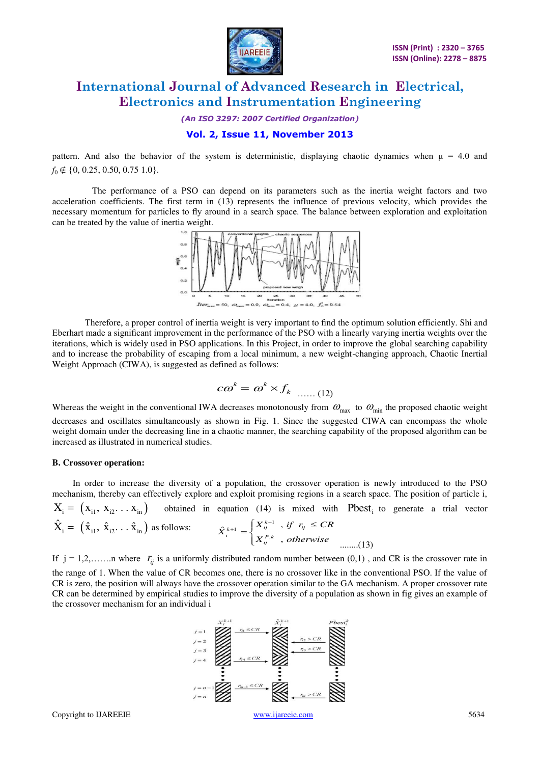

*(An ISO 3297: 2007 Certified Organization)* 

# **Vol. 2, Issue 11, November 2013**

pattern. And also the behavior of the system is deterministic, displaying chaotic dynamics when  $\mu = 4.0$  and *f*<sub>0</sub> ∉ {0, 0.25, 0.50, 0.75 1.0}.

 The performance of a PSO can depend on its parameters such as the inertia weight factors and two acceleration coefficients. The first term in (13) represents the influence of previous velocity, which provides the necessary momentum for particles to fly around in a search space. The balance between exploration and exploitation can be treated by the value of inertia weight.



Therefore, a proper control of inertia weight is very important to find the optimum solution efficiently. Shi and Eberhart made a significant improvement in the performance of the PSO with a linearly varying inertia weights over the iterations, which is widely used in PSO applications. In this Project, in order to improve the global searching capability and to increase the probability of escaping from a local minimum, a new weight-changing approach, Chaotic Inertial Weight Approach (CIWA), is suggested as defined as follows:

$$
c\omega^k = \omega^k \times f_k \dots (12)
$$

Whereas the weight in the conventional IWA decreases monotonously from  $\omega_{\text{max}}$  to  $\omega_{\text{min}}$  the proposed chaotic weight decreases and oscillates simultaneously as shown in Fig. 1. Since the suggested CIWA can encompass the whole weight domain under the decreasing line in a chaotic manner, the searching capability of the proposed algorithm can be increased as illustrated in numerical studies.

#### **B. Crossover operation:**

In order to increase the diversity of a population, the crossover operation is newly introduced to the PSO mechanism, thereby can effectively explore and exploit promising regions in a search space. The position of particle i,

$$
X_{i} = (x_{i1}, x_{i2}, \ldots x_{in})
$$
 obtained in equation (14) is mixed with Pbest<sub>i</sub> to generate a trial vector  

$$
\hat{X}_{i} = (\hat{x}_{i1}, \hat{x}_{i2}, \ldots \hat{x}_{in})
$$
 as follows:
$$
\hat{X}_{i}^{k+1} = \begin{cases} X_{ij}^{k+1}, & \text{if } r_{ij} \le CR \\ X_{ij}^{P,k}, & \text{otherwise} \end{cases}
$$
........(13)

If  $j = 1, 2, \ldots$  where  $r_{ij}$  is a uniformly distributed random number between (0,1), and CR is the crossover rate in the range of 1. When the value of CR becomes one, there is no crossover like in the conventional PSO. If the value of CR is zero, the position will always have the crossover operation similar to the GA mechanism. A proper crossover rate CR can be determined by empirical studies to improve the diversity of a population as shown in fig gives an example of the crossover mechanism for an individual i

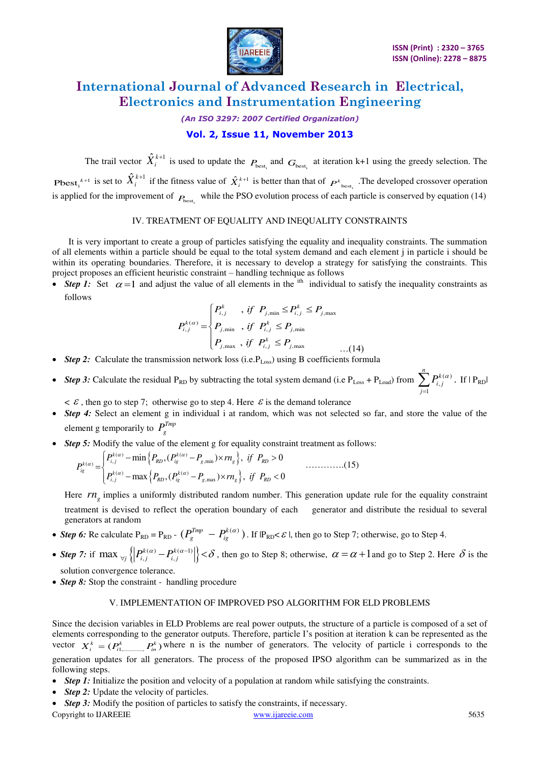

### *(An ISO 3297: 2007 Certified Organization)*

# **Vol. 2, Issue 11, November 2013**

The trail vector  $\hat{X}_i^{k+1}$  is used to update the  $P_{\text{best}_i}$  and  $G_{\text{best}_i}$  at iteration k+1 using the greedy selection. The **Pbest**<sub>*i*</sub><sup>*k*+1</sup> is set to  $\hat{X}_i^{k+1}$  if the fitness value of  $\hat{X}_i^{k+1}$  is better than that of  $P^k$ <sub>best<sub>i</sub></sub>. The developed crossover operation is applied for the improvement of  $P_{\text{best}_i}$  while the PSO evolution process of each particle is conserved by equation (14)

### IV. TREATMENT OF EQUALITY AND INEQUALITY CONSTRAINTS

It is very important to create a group of particles satisfying the equality and inequality constraints. The summation of all elements within a particle should be equal to the total system demand and each element j in particle i should be within its operating boundaries. Therefore, it is necessary to develop a strategy for satisfying the constraints. This project proposes an efficient heuristic constraint – handling technique as follows

• *Step 1:* Set  $\alpha = 1$  and adjust the value of all elements in the <sup>ith</sup> individual to satisfy the inequality constraints as follows

$$
P_{i,j}^{k(\alpha)} = \begin{cases} P_{i,j}^k, & \text{if } P_{j,\min} \le P_{i,j}^k \le P_{j,\max} \\ P_{j,\min} , & \text{if } P_{i,j}^k \le P_{j,\min} \\ P_{j,\max} , & \text{if } P_{i,j}^k \le P_{j,\max} \end{cases} \tag{14}
$$

- Step 2: Calculate the transmission network loss (i.e. P<sub>Loss</sub>) using B coefficients formula
- *Step 3:* Calculate the residual P<sub>RD</sub> by subtracting the total system demand (i.e  $P_{Loss} + P_{Load}$ ) from  $\sum P_{i,j}^{k(\alpha)}$ 1 .  $\sum_{k=1}^{n} b^k$ *i j j*  $P_{i,j}^{k(\alpha)}$  $\sum_{j=1} P_{i,j}^{k(\alpha)}$ . If  $|P_{RD}|$

 $\epsilon \in \mathcal{E}$ , then go to step 7; otherwise go to step 4. Here  $\epsilon$  is the demand tolerance

- *Step 4*: Select an element g in individual i at random, which was not selected so far, and store the value of the element g temporarily to  $P_g^{Tmp}$
- *Step 5:* Modify the value of the element g for equality constraint treatment as follows:

$$
P_{ig}^{k(\alpha)} = \begin{cases} P_{i,j}^{k(\alpha)} - \min\left\{P_{RD}, (P_{ig}^{k(\alpha)} - P_{g,\min}) \times rn_g\right\}, & \text{if } P_{RD} > 0\\ P_{i,j}^{k(\alpha)} - \max\left\{P_{RD}, (P_{ig}^{k(\alpha)} - P_{g,\max}) \times rn_g\right\}, & \text{if } P_{RD} < 0 \end{cases} \tag{15}
$$

Here  $rn<sub>g</sub>$  implies a uniformly distributed random number. This generation update rule for the equality constraint treatment is devised to reflect the operation boundary of each generator and distribute the residual to several generators at random

- *Step 6:* Re calculate  $P_{RD} = P_{RD} (P_g^{Tmp} P_{ig}^{k(\alpha)})$ . If  $P_{RD} \le \varepsilon$  l, then go to Step 7; otherwise, go to Step 4.
- Step 7: if max  $\mathcal{L}_{ij} \left\{ \left| P_{i,j}^{k(\alpha)} P_{i,j}^{k(\alpha-1)} \right| \right\} < \delta$ , then go to Step 8; otherwise,  $\alpha = \alpha + 1$  and go to Step 2. Here  $\delta$  is the solution convergence tolerance.
- *Step 8:* Stop the constraint handling procedure

### V. IMPLEMENTATION OF IMPROVED PSO ALGORITHM FOR ELD PROBLEMS

Since the decision variables in ELD Problems are real power outputs, the structure of a particle is composed of a set of elements corresponding to the generator outputs. Therefore, particle I's position at iteration k can be represented as the vector  $X_i^k = (P_{i1,\dots,i}, P_{in}^k)$  where n is the number of generators. The velocity of particle i corresponds to the generation updates for all generators. The process of the proposed IPSO algorithm can be summarized as in the following steps.

- *Step 1:* Initialize the position and velocity of a population at random while satisfying the constraints.
- *Step 2:* Update the velocity of particles.
- Copyright to IJAREEIE [www.ijareeie.com](http://www.ijareeie.com/) 5635 • *Step 3:* Modify the position of particles to satisfy the constraints, if necessary.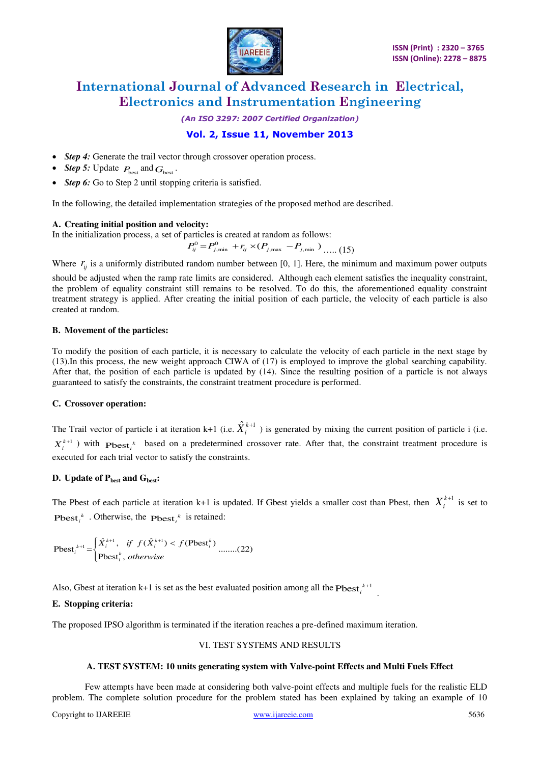

*(An ISO 3297: 2007 Certified Organization)* 

# **Vol. 2, Issue 11, November 2013**

- *Step 4:* Generate the trail vector through crossover operation process.
- *Step 5:* Update  $P_{\text{best}}$  and  $G_{\text{best}}$ .
- *Step 6:* Go to Step 2 until stopping criteria is satisfied.

In the following, the detailed implementation strategies of the proposed method are described.

### **A. Creating initial position and velocity:**

In the initialization process, a set of particles is created at random as follows:

 $P_{ij}^0 = P_{j,\text{min}}^0 + r_{ij} \times (P_{j,\text{max}} - P_{j,\text{min}})$  ..... (15)

Where  $r_{ii}$  is a uniformly distributed random number between [0, 1]. Here, the minimum and maximum power outputs

should be adjusted when the ramp rate limits are considered. Although each element satisfies the inequality constraint, the problem of equality constraint still remains to be resolved. To do this, the aforementioned equality constraint treatment strategy is applied. After creating the initial position of each particle, the velocity of each particle is also created at random.

### **B. Movement of the particles:**

To modify the position of each particle, it is necessary to calculate the velocity of each particle in the next stage by (13).In this process, the new weight approach CIWA of (17) is employed to improve the global searching capability. After that, the position of each particle is updated by (14). Since the resulting position of a particle is not always guaranteed to satisfy the constraints, the constraint treatment procedure is performed.

### **C. Crossover operation:**

The Trail vector of particle i at iteration k+1 (i.e.  $\hat{X}_i^{k+1}$ ) is generated by mixing the current position of particle i (i.e.  $X_i^{k+1}$ ) with  $\text{Pbest}_i^k$  based on a predetermined crossover rate. After that, the constraint treatment procedure is executed for each trial vector to satisfy the constraints.

# **D. Update of Pbest and Gbest:**

The Pbest of each particle at iteration k+1 is updated. If Gbest yields a smaller cost than Pbest, then  $X_i^{k+1}$  is set to Pbest<sub>*i*</sub><sup> $k$ </sup>. Otherwise, the Pbest<sub>*i*</sub><sup> $k$ </sup> is retained:

Pbest<sub>i</sub><sup>k+1</sup> = 
$$
\begin{cases} \hat{X}_{i}^{k+1}, & \text{if } f(\hat{X}_{i}^{k+1}) < f(\text{Pbest}_{i}^{k}) \\ \text{Pbest}_{i}^{k}, & \text{otherwise} \end{cases} \dots \dots (22)
$$

Also, Gbest at iteration  $k+1$  is set as the best evaluated position among all the  $Pbest_i^{k+1}$ .

### **E. Stopping criteria:**

The proposed IPSO algorithm is terminated if the iteration reaches a pre-defined maximum iteration.

### VI. TEST SYSTEMS AND RESULTS

### **A. TEST SYSTEM: 10 units generating system with Valve-point Effects and Multi Fuels Effect**

Few attempts have been made at considering both valve-point effects and multiple fuels for the realistic ELD problem. The complete solution procedure for the problem stated has been explained by taking an example of 10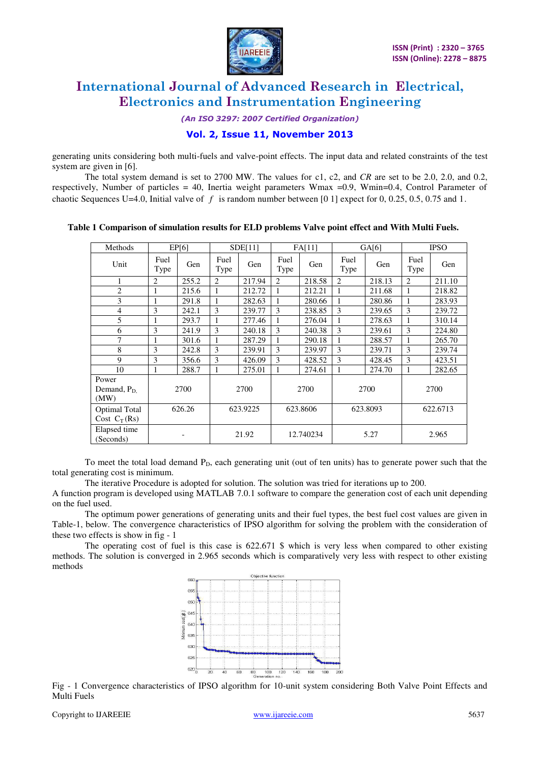

*(An ISO 3297: 2007 Certified Organization)* 

# **Vol. 2, Issue 11, November 2013**

generating units considering both multi-fuels and valve-point effects. The input data and related constraints of the test system are given in [6].

The total system demand is set to 2700 MW. The values for c1, c2, and *CR* are set to be 2.0, 2.0, and 0.2, respectively, Number of particles = 40, Inertia weight parameters  $W$ max = 0.9, Wmin=0.4, Control Parameter of chaotic Sequences U=4.0, Initial valve of *f* is random number between [0 1] expect for 0, 0.25, 0.5, 0.75 and 1.

| Methods                                | EPI6           |       | SDE[11]        |        | FA[11]         |        | GA[6]          |        | <b>IPSO</b>    |        |
|----------------------------------------|----------------|-------|----------------|--------|----------------|--------|----------------|--------|----------------|--------|
| Unit                                   | Fuel<br>Type   | Gen   | Fuel<br>Type   | Gen    | Fuel<br>Type   | Gen    | Fuel<br>Type   | Gen    | Fuel<br>Type   | Gen    |
| 1                                      | $\overline{2}$ | 255.2 | $\overline{c}$ | 217.94 | $\overline{c}$ | 218.58 | $\overline{2}$ | 218.13 | $\overline{2}$ | 211.10 |
| $\overline{2}$                         | 1              | 215.6 |                | 212.72 |                | 212.21 | 1              | 211.68 |                | 218.82 |
| 3                                      |                | 291.8 | 1              | 282.63 |                | 280.66 | $\mathbf{1}$   | 280.86 | 1              | 283.93 |
| $\overline{4}$                         | 3              | 242.1 | 3              | 239.77 | 3              | 238.85 | 3              | 239.65 | 3              | 239.72 |
| 5                                      | 1              | 293.7 |                | 277.46 |                | 276.04 | 1              | 278.63 | 1              | 310.14 |
| 6                                      | 3              | 241.9 | 3              | 240.18 | 3              | 240.38 | 3              | 239.61 | 3              | 224.80 |
| 7                                      | 1              | 301.6 | 1              | 287.29 |                | 290.18 | 1              | 288.57 | 1              | 265.70 |
| 8                                      | 3              | 242.8 | 3              | 239.91 | 3              | 239.97 | 3              | 239.71 | 3              | 239.74 |
| 9                                      | 3              | 356.6 | 3              | 426.09 | 3              | 428.52 | 3              | 428.45 | 3              | 423.51 |
| 10                                     | 1              | 288.7 | 1              | 275.01 | 1              | 274.61 | 1              | 274.70 | 1              | 282.65 |
| Power<br>Demand, $P_D$<br>(MW)         | 2700           |       | 2700           |        | 2700           |        | 2700           |        | 2700           |        |
| <b>Optimal Total</b><br>Cost $C_T(Rs)$ | 626.26         |       | 623.9225       |        | 623.8606       |        | 623.8093       |        | 622.6713       |        |
| Elapsed time<br>(Seconds)              |                |       | 21.92          |        | 12.740234      |        | 5.27           |        | 2.965          |        |

 **Table 1 Comparison of simulation results for ELD problems Valve point effect and With Multi Fuels.** 

To meet the total load demand P<sub>D</sub>, each generating unit (out of ten units) has to generate power such that the total generating cost is minimum.

The iterative Procedure is adopted for solution. The solution was tried for iterations up to 200.

A function program is developed using MATLAB 7.0.1 software to compare the generation cost of each unit depending on the fuel used.

The optimum power generations of generating units and their fuel types, the best fuel cost values are given in Table-1, below. The convergence characteristics of IPSO algorithm for solving the problem with the consideration of these two effects is show in fig - 1

The operating cost of fuel is this case is  $622.671 \text{ \textdegree}$  which is very less when compared to other existing methods. The solution is converged in 2.965 seconds which is comparatively very less with respect to other existing methods



Fig - 1 Convergence characteristics of IPSO algorithm for 10-unit system considering Both Valve Point Effects and Multi Fuels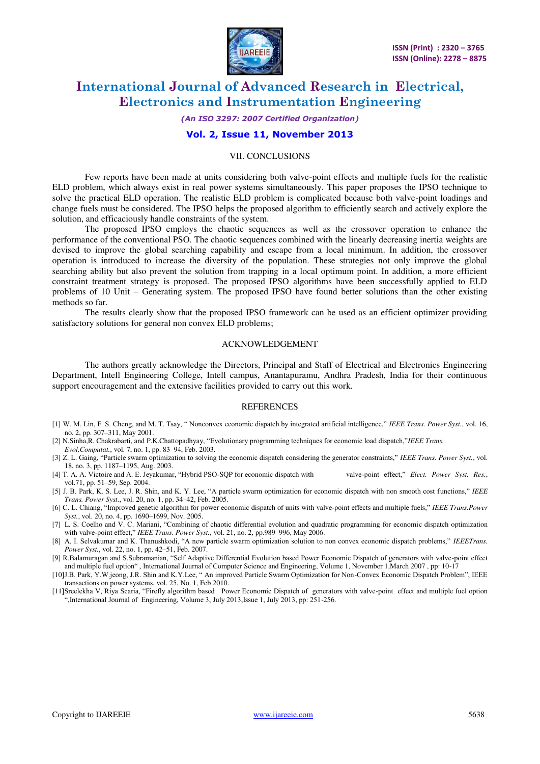

#### *(An ISO 3297: 2007 Certified Organization)*

#### **Vol. 2, Issue 11, November 2013**

#### VII. CONCLUSIONS

 Few reports have been made at units considering both valve-point effects and multiple fuels for the realistic ELD problem, which always exist in real power systems simultaneously. This paper proposes the IPSO technique to solve the practical ELD operation. The realistic ELD problem is complicated because both valve-point loadings and change fuels must be considered. The IPSO helps the proposed algorithm to efficiently search and actively explore the solution, and efficaciously handle constraints of the system.

 The proposed IPSO employs the chaotic sequences as well as the crossover operation to enhance the performance of the conventional PSO. The chaotic sequences combined with the linearly decreasing inertia weights are devised to improve the global searching capability and escape from a local minimum. In addition, the crossover operation is introduced to increase the diversity of the population. These strategies not only improve the global searching ability but also prevent the solution from trapping in a local optimum point. In addition, a more efficient constraint treatment strategy is proposed. The proposed IPSO algorithms have been successfully applied to ELD problems of 10 Unit – Generating system. The proposed IPSO have found better solutions than the other existing methods so far.

The results clearly show that the proposed IPSO framework can be used as an efficient optimizer providing satisfactory solutions for general non convex ELD problems;

#### ACKNOWLEDGEMENT

The authors greatly acknowledge the Directors, Principal and Staff of Electrical and Electronics Engineering Department, Intell Engineering College, Intell campus, Anantapuramu, Andhra Pradesh, India for their continuous support encouragement and the extensive facilities provided to carry out this work.

#### **REFERENCES**

- [1] W. M. Lin, F. S. Cheng, and M. T. Tsay, " Nonconvex economic dispatch by integrated artificial intelligence," *IEEE Trans. Power Syst.*, vol. 16, no. 2, pp. 307–311, May 2001.
- [2] N.Sinha,R. Chakrabarti, and P.K.Chattopadhyay, "Evolutionary programming techniques for economic load dispatch,"*IEEE Trans. Evol.Computat.*, vol. 7, no. 1, pp. 83–94, Feb. 2003.
- [3] Z. L. Gaing, "Particle swarm optimization to solving the economic dispatch considering the generator constraints," *IEEE Trans. Power Syst.*, vol. 18, no. 3, pp. 1187–1195, Aug. 2003.
- [4] T. A. A. Victoire and A. E. Jeyakumar, "Hybrid PSO-SQP for economic dispatch with valve-point effect," *Elect. Power Syst. Res.*, vol.71, pp. 51–59, Sep. 2004.
- [5] J. B. Park, K. S. Lee, J. R. Shin, and K. Y. Lee, "A particle swarm optimization for economic dispatch with non smooth cost functions," *IEEE Trans. Power Syst.*, vol. 20, no. 1, pp. 34–42, Feb. 2005.
- [6] C. L. Chiang, "Improved genetic algorithm for power economic dispatch of units with valve-point effects and multiple fuels," *IEEE Trans.Power Syst.*, vol. 20, no. 4, pp. 1690–1699, Nov. 2005.
- [7] L. S. Coelho and V. C. Mariani, "Combining of chaotic differential evolution and quadratic programming for economic dispatch optimization with valve-point effect," *IEEE Trans. Power Syst.*, vol. 21, no. 2, pp.989–996, May 2006.
- [8] A. I. Selvakumar and K. Thanushkodi, "A new particle swarm optimization solution to non convex economic dispatch problems," *IEEETrans. Power Syst.*, vol. 22, no. 1, pp. 42–51, Feb. 2007.
- [9] R.Balamuragan and S.Subramanian, "Self Adaptive Differential Evolution based Power Economic Dispatch of generators with valve-point effect and multiple fuel option" , International Journal of Computer Science and Engineering, Volume 1, November 1,March 2007 , pp: 10-17
- [10]J.B. Park, Y.W.jeong, J.R. Shin and K.Y.Lee, " An improved Particle Swarm Optimization for Non-Convex Economic Dispatch Problem", IEEE transactions on power systems, vol. 25, No. 1, Feb 2010.
- [11]Sreelekha V, Riya Scaria, "Firefly algorithm based Power Economic Dispatch of generators with valve-point effect and multiple fuel option ",International Journal of Engineering, Volume 3, July 2013,Issue 1, July 2013, pp: 251-256.